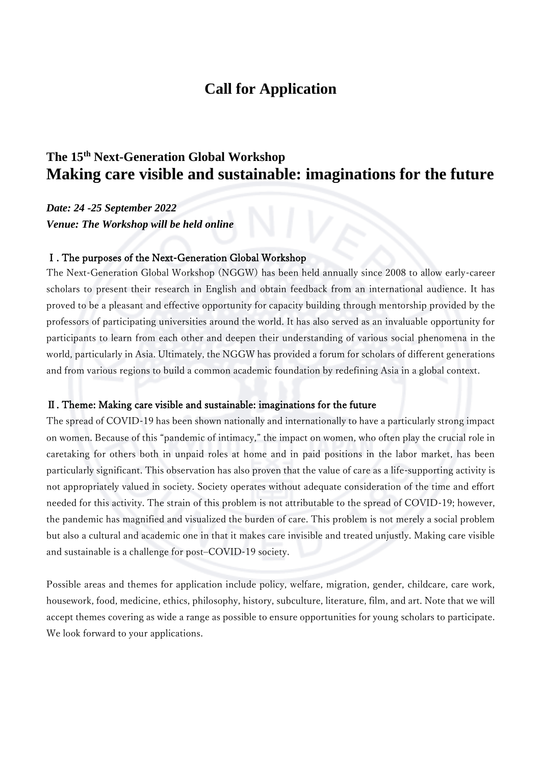# **Call for Application**

## **The 15 th Next-Generation Global Workshop Making care visible and sustainable: imaginations for the future**

*Date: 24 -25 September 2022 Venue: The Workshop will be held online*

#### Ⅰ. The purposes of the Next-Generation Global Workshop

The Next-Generation Global Workshop (NGGW) has been held annually since 2008 to allow early-career scholars to present their research in English and obtain feedback from an international audience. It has proved to be a pleasant and effective opportunity for capacity building through mentorship provided by the professors of participating universities around the world. It has also served as an invaluable opportunity for participants to learn from each other and deepen their understanding of various social phenomena in the world, particularly in Asia. Ultimately, the NGGW has provided a forum for scholars of different generations and from various regions to build a common academic foundation by redefining Asia in a global context.

#### Ⅱ. Theme: Making care visible and sustainable: imaginations for the future

The spread of COVID-19 has been shown nationally and internationally to have a particularly strong impact on women. Because of this "pandemic of intimacy," the impact on women, who often play the crucial role in caretaking for others both in unpaid roles at home and in paid positions in the labor market, has been particularly significant. This observation has also proven that the value of care as a life-supporting activity is not appropriately valued in society. Society operates without adequate consideration of the time and effort needed for this activity. The strain of this problem is not attributable to the spread of COVID-19; however, the pandemic has magnified and visualized the burden of care. This problem is not merely a social problem but also a cultural and academic one in that it makes care invisible and treated unjustly. Making care visible and sustainable is a challenge for post–COVID-19 society.

Possible areas and themes for application include policy, welfare, migration, gender, childcare, care work, housework, food, medicine, ethics, philosophy, history, subculture, literature, film, and art. Note that we will accept themes covering as wide a range as possible to ensure opportunities for young scholars to participate. We look forward to your applications.